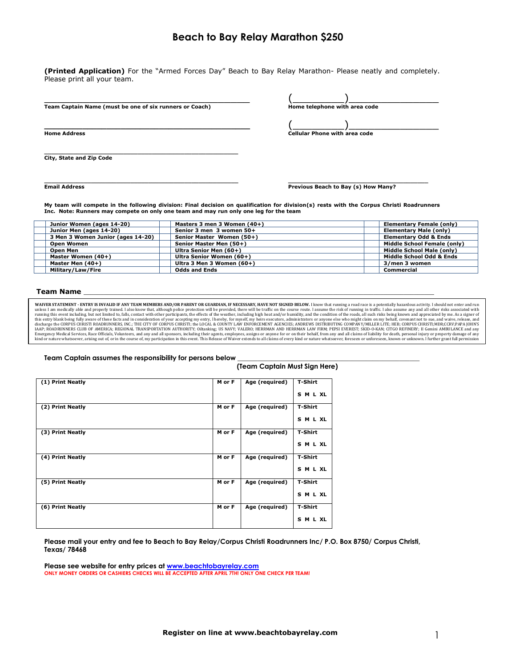## **Beach to Bay Relay Marathon \$250**

**(Printed Application)** For the "Armed Forces Day" Beach to Bay Relay Marathon- Please neatly and completely. Please print all your team.

| Team Captain Name (must be one of six runners or Coach) | Home telephone with area code |  |
|---------------------------------------------------------|-------------------------------|--|

**\_\_\_\_\_\_\_\_\_\_\_\_\_\_\_\_\_\_\_\_\_\_\_\_\_\_\_\_\_\_\_\_\_\_\_\_\_\_\_\_\_\_\_** (\_\_\_\_\_\_\_\_)\_\_\_\_\_\_\_\_\_\_\_\_\_\_ **Home Address Cellular Phone with area code**

**\_\_\_\_\_\_\_\_\_\_\_\_\_\_\_\_\_\_\_\_\_\_\_\_\_\_\_\_\_\_\_\_\_\_\_\_\_\_\_\_\_\_\_\_\_\_\_\_\_\_\_\_\_\_ City, State and Zip Code**

**\_\_\_\_\_\_\_\_\_\_\_\_\_\_\_\_\_\_\_\_\_\_\_\_\_\_\_\_\_\_\_\_\_\_\_\_\_\_\_\_\_\_\_\_\_\_\_\_\_\_\_\_\_\_ \_\_\_\_\_\_\_\_\_\_\_\_\_\_\_\_\_\_\_\_\_\_\_\_\_\_\_\_\_\_\_\_\_\_\_\_\_\_\_ Email Address Previous Beach to Bay (s) How Many? Previous Beach to Bay (s) How Many?** 

**My team will compete in the following division: Final decision on qualification for division(s) rests with the Corpus Christi Roadrunners Inc. Note: Runners may compete on only one team and may run only one leg for the team**

| Junior Women (ages 14-20)         | Masters 3 men 3 Women (40+) | Elementary Female (only)         |
|-----------------------------------|-----------------------------|----------------------------------|
| Junior Men (ages 14-20)           | Senior 3 men 3 women 50+    | Elementary Male (only)           |
| 3 Men 3 Women Junior (ages 14-20) | Senior Master Women (50+)   | <b>Elementary Odd &amp; Ends</b> |
| <b>Open Women</b>                 | Senior Master Men (50+)     | Middle School Female (only)      |
| Open Men                          | Ultra Senior Men (60+)      | Middle School Male (only)        |
| Master Women (40+)                | Ultra Senior Women (60+)    | Middle School Odd & Ends         |
| Master Men (40+)                  | Ultra 3 Men 3 Women (60+)   | 3/men 3 women                    |
| Military/Law/Fire                 | <b>Odds and Ends</b>        | Commercial                       |

## **Team Name**

WAIVER STATEMENT - ENTRY IS INVALID IF ANY TEAM MEMBERS AND/OR PARENT OR GUARDIAN, IF NECESSARY, HAVE NOT SIGNED BELOW. I know that running a road race is a potentially hazardous activity. I should not enter and run<br>unless this entry blank being fully aware of these facts and in consideration of your accepting my entry, 1 hereby, for myself, my heirs executors, administrators or anyone else who might claim on my behalf, covenant not to sue,

## **Team Captain assumes the responsibility for persons below \_\_\_\_\_\_\_\_\_\_\_\_\_\_\_\_\_\_\_\_\_\_\_\_\_\_\_\_\_\_\_\_\_\_\_\_\_\_\_\_\_\_\_\_\_\_\_\_\_\_\_\_\_\_** parent's or guardian's signature. l further understand that my entry fee is NON-REFUNDABLE, even if the race is canceled. **NOTE: Must have NAME, AGE and SIGNATURE of all runners or application will be considered incomplete.**

| ream capital assumes me responsibility for persons below |        | (Team Captain Must Sign Here) |                |
|----------------------------------------------------------|--------|-------------------------------|----------------|
| (1) Print Neatly                                         | M or F | Age (required)                | T-Shirt        |
|                                                          |        |                               | SMLXL          |
| (2) Print Neatly                                         | M or F | Age (required)                | T-Shirt        |
|                                                          |        |                               | SMLXL          |
| (3) Print Neatly                                         | M or F | Age (required)                | T-Shirt        |
|                                                          |        |                               | SMLXL          |
| (4) Print Neatly                                         | M or F | Age (required)                | <b>T-Shirt</b> |
|                                                          |        |                               | SMLXL          |
| (5) Print Neatly                                         | M or F | Age (required)                | T-Shirt        |
|                                                          |        |                               | <b>SMLXL</b>   |
| (6) Print Neatly                                         | M or F | Age (required)                | T-Shirt        |
|                                                          |        |                               | <b>SMLXL</b>   |

**Please mail your entry and fee to Beach to Bay Relay/Corpus Christi Roadrunners Inc/ P.O. Box 8750/ Corpus Christi, Texas/ 78468**

**Please see website for entry prices at [www.beachtobayrelay.com](http://www.beachtobayrelay.com/)  ONLY MONEY ORDERS OR CASHIERS CHECKS WILL BE ACCEPTED AFTER APRIL 7TH! ONLY ONE CHECK PER TEAM!**